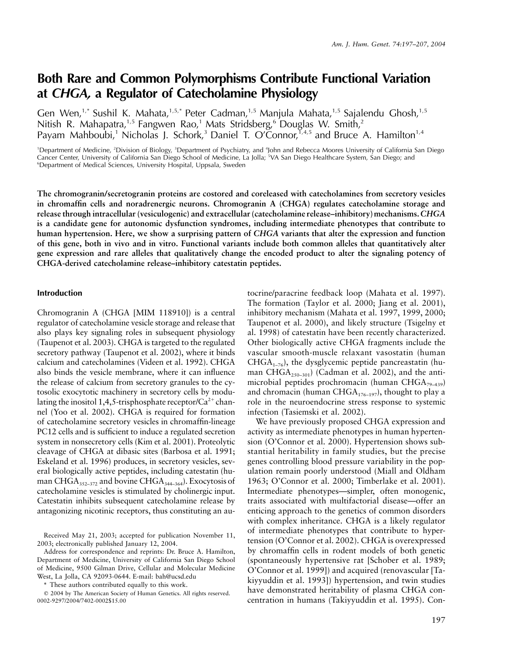# **Both Rare and Common Polymorphisms Contribute Functional Variation at** *CHGA,* **a Regulator of Catecholamine Physiology**

Gen Wen,<sup>1,\*</sup> Sushil K. Mahata,<sup>1,5,\*</sup> Peter Cadman,<sup>1,5</sup> Manjula Mahata,<sup>1,5</sup> Sajalendu Ghosh,<sup>1,5</sup> Nitish R. Mahapatra,<sup>1,5</sup> Fangwen Rao,<sup>1</sup> Mats Stridsberg,<sup>6</sup> Douglas W. Smith,<sup>2</sup> Payam Mahboubi,<sup>1</sup> Nicholas J. Schork,<sup>3</sup> Daniel T. O'Connor,<sup>1,4,5</sup> and Bruce A. Hamilton<sup>1,4</sup>

<sup>1</sup>Department of Medicine, <sup>2</sup>Division of Biology, <sup>3</sup>Department of Psychiatry, and <sup>4</sup>John and Rebecca Moores University of California San Diego Cancer Center, University of California San Diego School of Medicine, La Jolla; <sup>5</sup>VA San Diego Healthcare System, San Diego; and <sup>6</sup>Department of Medical Sciences, University Hospital, Uppsala, Sweden

**The chromogranin/secretogranin proteins are costored and coreleased with catecholamines from secretory vesicles in chromaffin cells and noradrenergic neurons. Chromogranin A (CHGA) regulates catecholamine storage and release through intracellular (vesiculogenic) and extracellular (catecholamine release–inhibitory) mechanisms.***CHGA* **is a candidate gene for autonomic dysfunction syndromes, including intermediate phenotypes that contribute to human hypertension. Here, we show a surprising pattern of** *CHGA* **variants that alter the expression and function of this gene, both in vivo and in vitro. Functional variants include both common alleles that quantitatively alter gene expression and rare alleles that qualitatively change the encoded product to alter the signaling potency of CHGA-derived catecholamine release–inhibitory catestatin peptides.**

#### **Introduction**

Chromogranin A (CHGA [MIM 118910]) is a central regulator of catecholamine vesicle storage and release that also plays key signaling roles in subsequent physiology (Taupenot et al. 2003). CHGA is targeted to the regulated secretory pathway (Taupenot et al. 2002), where it binds calcium and catecholamines (Videen et al. 1992). CHGA also binds the vesicle membrane, where it can influence the release of calcium from secretory granules to the cytosolic exocytotic machinery in secretory cells by modulating the inositol 1,4,5-trisphosphate receptor/ $\text{Ca}^{2+}$ channel (Yoo et al. 2002). CHGA is required for formation of catecholamine secretory vesicles in chromaffin-lineage PC12 cells and is sufficient to induce a regulated secretion system in nonsecretory cells (Kim et al. 2001). Proteolytic cleavage of CHGA at dibasic sites (Barbosa et al. 1991; Eskeland et al. 1996) produces, in secretory vesicles, several biologically active peptides, including catestatin (human CHGA $_{352-372}$  and bovine CHGA $_{344-364}$ ). Exocytosis of catecholamine vesicles is stimulated by cholinergic input. Catestatin inhibits subsequent catecholamine release by antagonizing nicotinic receptors, thus constituting an au-

\* These authors contributed equally to this work.

tocrine/paracrine feedback loop (Mahata et al. 1997). The formation (Taylor et al. 2000; Jiang et al. 2001), inhibitory mechanism (Mahata et al. 1997, 1999, 2000; Taupenot et al. 2000), and likely structure (Tsigelny et al. 1998) of catestatin have been recently characterized. Other biologically active CHGA fragments include the vascular smooth-muscle relaxant vasostatin (human  $CHGA<sub>1–76</sub>$ , the dysglycemic peptide pancreastatin (human CHG $A_{250-301}$ ) (Cadman et al. 2002), and the antimicrobial peptides prochromacin (human CHGA $_{79-439}$ ) and chromacin (human CHGA $_{176-197}$ ), thought to play a role in the neuroendocrine stress response to systemic infection (Tasiemski et al. 2002).

We have previously proposed CHGA expression and activity as intermediate phenotypes in human hypertension (O'Connor et al. 2000). Hypertension shows substantial heritability in family studies, but the precise genes controlling blood pressure variability in the population remain poorly understood (Miall and Oldham 1963; O'Connor et al. 2000; Timberlake et al. 2001). Intermediate phenotypes—simpler, often monogenic, traits associated with multifactorial disease—offer an enticing approach to the genetics of common disorders with complex inheritance. CHGA is a likely regulator of intermediate phenotypes that contribute to hypertension (O'Connor et al. 2002). CHGA is overexpressed by chromaffin cells in rodent models of both genetic (spontaneously hypertensive rat [Schober et al. 1989; O'Connor et al. 1999]) and acquired (renovascular [Takiyyuddin et al. 1993]) hypertension, and twin studies have demonstrated heritability of plasma CHGA concentration in humans (Takiyyuddin et al. 1995). Con-

Received May 21, 2003; accepted for publication November 11, 2003; electronically published January 12, 2004.

Address for correspondence and reprints: Dr. Bruce A. Hamilton, Department of Medicine, University of California San Diego School of Medicine, 9500 Gilman Drive, Cellular and Molecular Medicine West, La Jolla, CA 92093-0644. E-mail: bah@ucsd.edu

2004 by The American Society of Human Genetics. All rights reserved. 0002-9297/2004/7402-0002\$15.00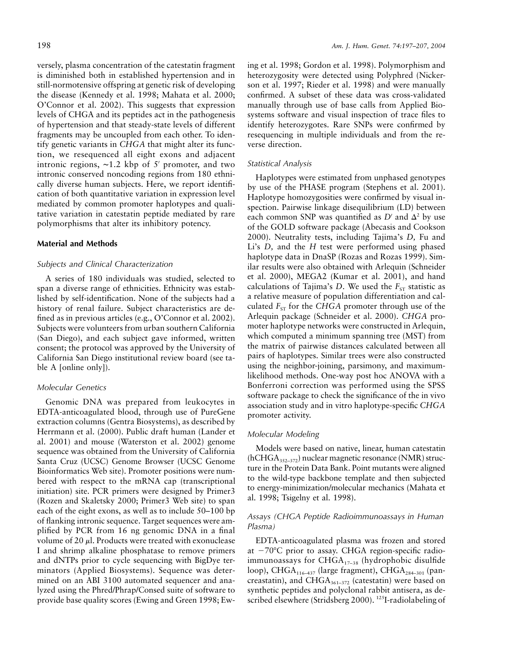versely, plasma concentration of the catestatin fragment is diminished both in established hypertension and in still-normotensive offspring at genetic risk of developing the disease (Kennedy et al. 1998; Mahata et al. 2000; O'Connor et al. 2002). This suggests that expression levels of CHGA and its peptides act in the pathogenesis of hypertension and that steady-state levels of different fragments may be uncoupled from each other. To identify genetic variants in *CHGA* that might alter its function, we resequenced all eight exons and adjacent intronic regions, ∼1.2 kbp of 5′ promoter, and two intronic conserved noncoding regions from 180 ethnically diverse human subjects. Here, we report identification of both quantitative variation in expression level mediated by common promoter haplotypes and qualitative variation in catestatin peptide mediated by rare polymorphisms that alter its inhibitory potency.

#### **Material and Methods**

#### *Subjects and Clinical Characterization*

A series of 180 individuals was studied, selected to span a diverse range of ethnicities. Ethnicity was established by self-identification. None of the subjects had a history of renal failure. Subject characteristics are defined as in previous articles (e.g., O'Connor et al. 2002). Subjects were volunteers from urban southern California (San Diego), and each subject gave informed, written consent; the protocol was approved by the University of California San Diego institutional review board (see table A [online only]).

## *Molecular Genetics*

Genomic DNA was prepared from leukocytes in EDTA-anticoagulated blood, through use of PureGene extraction columns (Gentra Biosystems), as described by Herrmann et al. (2000). Public draft human (Lander et al. 2001) and mouse (Waterston et al. 2002) genome sequence was obtained from the University of California Santa Cruz (UCSC) Genome Browser (UCSC Genome Bioinformatics Web site). Promoter positions were numbered with respect to the mRNA cap (transcriptional initiation) site. PCR primers were designed by Primer3 (Rozen and Skaletsky 2000; Primer3 Web site) to span each of the eight exons, as well as to include 50–100 bp of flanking intronic sequence. Target sequences were amplified by PCR from 16 ng genomic DNA in a final volume of 20  $\mu$ l. Products were treated with exonuclease I and shrimp alkaline phosphatase to remove primers and dNTPs prior to cycle sequencing with BigDye terminators (Applied Biosystems). Sequence was determined on an ABI 3100 automated sequencer and analyzed using the Phred/Phrap/Consed suite of software to provide base quality scores (Ewing and Green 1998; Ew-

ing et al. 1998; Gordon et al. 1998). Polymorphism and heterozygosity were detected using Polyphred (Nickerson et al. 1997; Rieder et al. 1998) and were manually confirmed. A subset of these data was cross-validated manually through use of base calls from Applied Biosystems software and visual inspection of trace files to identify heterozygotes. Rare SNPs were confirmed by resequencing in multiple individuals and from the reverse direction.

#### *Statistical Analysis*

Haplotypes were estimated from unphased genotypes by use of the PHASE program (Stephens et al. 2001). Haplotype homozygosities were confirmed by visual inspection. Pairwise linkage disequilibrium (LD) between each common SNP was quantified as  $D'$  and  $\Delta^2$  by use of the GOLD software package (Abecasis and Cookson 2000). Neutrality tests, including Tajima's *D,* Fu and Li's *D,* and the *H* test were performed using phased haplotype data in DnaSP (Rozas and Rozas 1999). Similar results were also obtained with Arlequin (Schneider et al. 2000), MEGA2 (Kumar et al. 2001), and hand calculations of Tajima's *D*. We used the  $F_{ST}$  statistic as a relative measure of population differentiation and calculated  $F_{ST}$  for the *CHGA* promoter through use of the Arlequin package (Schneider et al. 2000). *CHGA* promoter haplotype networks were constructed in Arlequin, which computed a minimum spanning tree (MST) from the matrix of pairwise distances calculated between all pairs of haplotypes. Similar trees were also constructed using the neighbor-joining, parsimony, and maximumlikelihood methods. One-way post hoc ANOVA with a Bonferroni correction was performed using the SPSS software package to check the significance of the in vivo association study and in vitro haplotype-specific *CHGA* promoter activity.

#### *Molecular Modeling*

Models were based on native, linear, human catestatin  $(hCHGA<sub>352–372</sub>)$  nuclear magnetic resonance (NMR) structure in the Protein Data Bank. Point mutants were aligned to the wild-type backbone template and then subjected to energy-minimization/molecular mechanics (Mahata et al. 1998; Tsigelny et al. 1998).

### *Assays (CHGA Peptide Radioimmunoassays in Human Plasma)*

EDTA-anticoagulated plasma was frozen and stored at -70°C prior to assay. CHGA region-specific radioimmunoassays for  $CHGA_{17-38}$  (hydrophobic disulfide loop), CHGA<sub>116–437</sub> (large fragment), CHGA<sub>284–301</sub> (pancreastatin), and CHGA $_{361-372}$  (catestatin) were based on synthetic peptides and polyclonal rabbit antisera, as described elsewhere (Stridsberg 2000). <sup>125</sup>I-radiolabeling of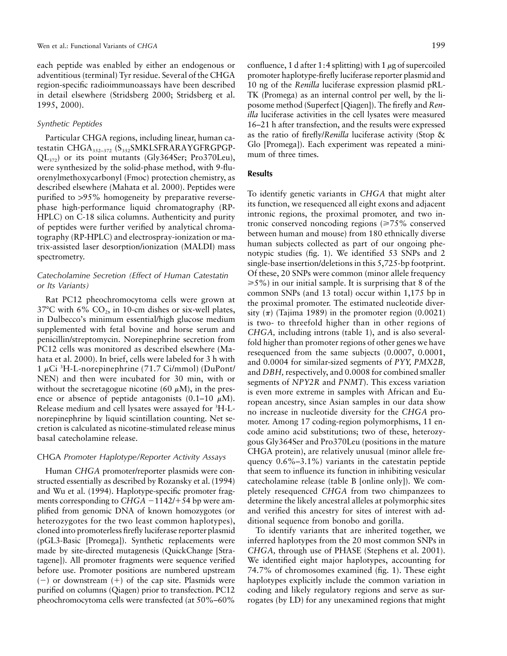each peptide was enabled by either an endogenous or adventitious (terminal) Tyr residue. Several of the CHGA region-specific radioimmunoassays have been described in detail elsewhere (Stridsberg 2000; Stridsberg et al. 1995, 2000).

#### *Synthetic Peptides*

Particular CHGA regions, including linear, human catestatin CHGA<sub>352-372</sub> (S<sub>352</sub>SMKLSFRARAYGFRGPGP-QL372) or its point mutants (Gly364Ser; Pro370Leu), were synthesized by the solid-phase method, with 9-fluorenylmethoxycarbonyl (Fmoc) protection chemistry, as described elsewhere (Mahata et al. 2000). Peptides were purified to >95% homogeneity by preparative reversephase high-performance liquid chromatography (RP-HPLC) on C-18 silica columns. Authenticity and purity of peptides were further verified by analytical chromatography (RP-HPLC) and electrospray-ionization or matrix-assisted laser desorption/ionization (MALDI) mass spectrometry.

## *Catecholamine Secretion (Effect of Human Catestatin or Its Variants)*

Rat PC12 pheochromocytoma cells were grown at 37°C with 6%  $CO<sub>2</sub>$ , in 10-cm dishes or six-well plates, in Dulbecco's minimum essential/high glucose medium supplemented with fetal bovine and horse serum and penicillin/streptomycin. Norepinephrine secretion from PC12 cells was monitored as described elsewhere (Mahata et al. 2000). In brief, cells were labeled for 3 h with  $1 \mu$ Ci <sup>3</sup>H-L-norepinephrine (71.7 Ci/mmol) (DuPont/ NEN) and then were incubated for 30 min, with or without the secretagogue nicotine (60  $\mu$ M), in the presence or absence of peptide antagonists  $(0.1-10 \mu M)$ . Release medium and cell lysates were assayed for <sup>3</sup>H-Lnorepinephrine by liquid scintillation counting. Net secretion is calculated as nicotine-stimulated release minus basal catecholamine release.

#### CHGA *Promoter Haplotype/Reporter Activity Assays*

Human *CHGA* promoter/reporter plasmids were constructed essentially as described by Rozansky et al. (1994) and Wu et al. (1994). Haplotype-specific promoter fragments corresponding to  $CHGA - 1142/ + 54$  bp were amplified from genomic DNA of known homozygotes (or heterozygotes for the two least common haplotypes), cloned into promoterless firefly luciferase reporter plasmid (pGL3-Basic [Promega]). Synthetic replacements were made by site-directed mutagenesis (QuickChange [Stratagene]). All promoter fragments were sequence verified before use. Promoter positions are numbered upstream  $(-)$  or downstream  $(+)$  of the cap site. Plasmids were purified on columns (Qiagen) prior to transfection. PC12 pheochromocytoma cells were transfected (at 50%–60%

confluence, 1 d after 1:4 splitting) with 1  $\mu$ g of supercoiled promoter haplotype-firefly luciferase reporter plasmid and 10 ng of the *Renilla* luciferase expression plasmid pRL-TK (Promega) as an internal control per well, by the liposome method (Superfect [Qiagen]). The firefly and *Renilla* luciferase activities in the cell lysates were measured 16–21 h after transfection, and the results were expressed as the ratio of firefly/*Renilla* luciferase activity (Stop & Glo [Promega]). Each experiment was repeated a minimum of three times.

#### **Results**

To identify genetic variants in *CHGA* that might alter its function, we resequenced all eight exons and adjacent intronic regions, the proximal promoter, and two intronic conserved noncoding regions  $\approx 75\%$  conserved between human and mouse) from 180 ethnically diverse human subjects collected as part of our ongoing phenotypic studies (fig. 1). We identified 53 SNPs and 2 single-base insertion/deletions in this 5,725-bp footprint. Of these, 20 SNPs were common (minor allele frequency  $\geq 5\%$ ) in our initial sample. It is surprising that 8 of the common SNPs (and 13 total) occur within 1,175 bp in the proximal promoter. The estimated nucleotide diversity  $(\pi)$  (Tajima 1989) in the promoter region (0.0021) is two- to threefold higher than in other regions of *CHGA,* including introns (table 1), and is also severalfold higher than promoter regions of other genes we have resequenced from the same subjects (0.0007, 0.0001, and 0.0004 for similar-sized segments of *PYY, PMX2B,* and *DBH,* respectively, and 0.0008 for combined smaller segments of *NPY2R* and *PNMT*). This excess variation is even more extreme in samples with African and European ancestry, since Asian samples in our data show no increase in nucleotide diversity for the *CHGA* promoter. Among 17 coding-region polymorphisms, 11 encode amino acid substitutions; two of these, heterozygous Gly364Ser and Pro370Leu (positions in the mature CHGA protein), are relatively unusual (minor allele frequency  $0.6\% - 3.1\%$ ) variants in the catestatin peptide that seem to influence its function in inhibiting vesicular catecholamine release (table B [online only]). We completely resequenced *CHGA* from two chimpanzees to determine the likely ancestral alleles at polymorphic sites and verified this ancestry for sites of interest with additional sequence from bonobo and gorilla.

To identify variants that are inherited together, we inferred haplotypes from the 20 most common SNPs in *CHGA,* through use of PHASE (Stephens et al. 2001). We identified eight major haplotypes, accounting for 74.7% of chromosomes examined (fig. 1). These eight haplotypes explicitly include the common variation in coding and likely regulatory regions and serve as surrogates (by LD) for any unexamined regions that might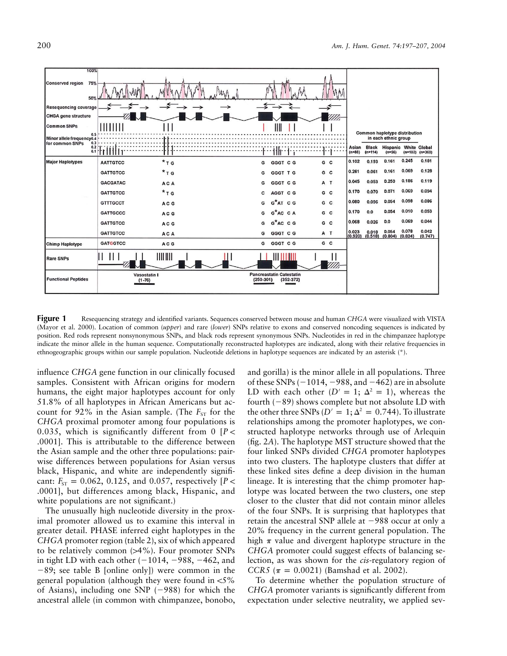

**Figure 1** Resequencing strategy and identified variants. Sequences conserved between mouse and human *CHGA* were visualized with VISTA (Mayor et al. 2000). Location of common (*upper*) and rare (*lower*) SNPs relative to exons and conserved noncoding sequences is indicated by position. Red rods represent nonsynonymous SNPs, and black rods represent synonymous SNPs. Nucleotides in red in the chimpanzee haplotype indicate the minor allele in the human sequence. Computationally reconstructed haplotypes are indicated, along with their relative frequencies in ethnogeographic groups within our sample population. Nucleotide deletions in haplotype sequences are indicated by an asterisk (\*).

influence *CHGA* gene function in our clinically focused samples. Consistent with African origins for modern humans, the eight major haplotypes account for only 51.8% of all haplotypes in African Americans but account for 92% in the Asian sample. (The  $F_{ST}$  for the *CHGA* proximal promoter among four populations is 0.035, which is significantly different from  $0 \left[ P \right]$ .0001]. This is attributable to the difference between the Asian sample and the other three populations: pairwise differences between populations for Asian versus black, Hispanic, and white are independently significant:  $F_{ST} = 0.062, 0.125,$  and 0.057, respectively [*P* < .0001], but differences among black, Hispanic, and white populations are not significant.)

The unusually high nucleotide diversity in the proximal promoter allowed us to examine this interval in greater detail. PHASE inferred eight haplotypes in the *CHGA* promoter region (table 2), six of which appeared to be relatively common  $(>4\%)$ . Four promoter SNPs in tight LD with each other  $(-1014, -988, -462, )$  and -89; see table B [online only]) were common in the general population (although they were found in  $\langle 5\%$ of Asians), including one  $SNP$  (-988) for which the ancestral allele (in common with chimpanzee, bonobo,

and gorilla) is the minor allele in all populations. Three of these SNPs  $(-1014, -988, \text{and } -462)$  are in absolute LD with each other  $(D' = 1; \Delta^2 = 1)$ , whereas the fourth  $(-89)$  shows complete but not absolute LD with the other three SNPs ( $D' = 1$ ;  $\Delta^2 = 0.744$ ). To illustrate relationships among the promoter haplotypes, we constructed haplotype networks through use of Arlequin (fig. 2*A*). The haplotype MST structure showed that the four linked SNPs divided *CHGA* promoter haplotypes into two clusters. The haplotype clusters that differ at these linked sites define a deep division in the human lineage. It is interesting that the chimp promoter haplotype was located between the two clusters, one step closer to the cluster that did not contain minor alleles of the four SNPs. It is surprising that haplotypes that retain the ancestral SNP allele at  $-988$  occur at only a 20% frequency in the current general population. The high  $\pi$  value and divergent haplotype structure in the *CHGA* promoter could suggest effects of balancing selection, as was shown for the *cis*-regulatory region of *CCR5* ( $\pi = 0.0021$ ) (Bamshad et al. 2002).

To determine whether the population structure of *CHGA* promoter variants is significantly different from expectation under selective neutrality, we applied sev-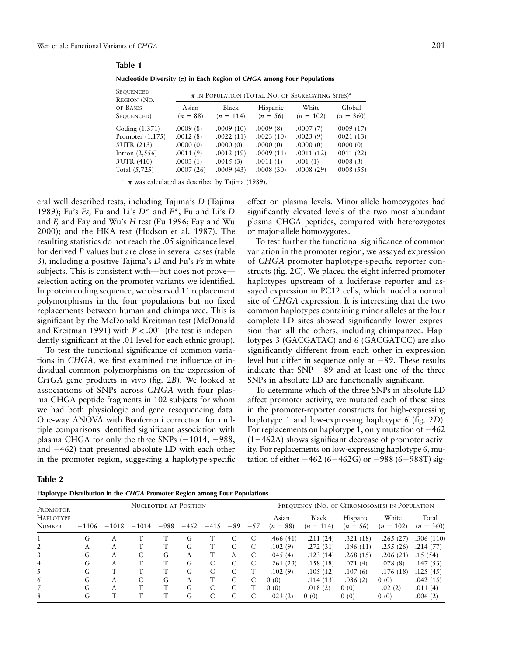| Sequenced<br>Region (No. | $\pi$ IN POPULATION (TOTAL NO. OF SEGREGATING SITES) <sup>a</sup> |                      |                        |                      |                       |  |  |  |  |  |
|--------------------------|-------------------------------------------------------------------|----------------------|------------------------|----------------------|-----------------------|--|--|--|--|--|
| of Bases<br>Sequenced)   | Asian<br>$(n = 88)$                                               | Black<br>$(n = 114)$ | Hispanic<br>$(n = 56)$ | White<br>$(n = 102)$ | Global<br>$(n = 360)$ |  |  |  |  |  |
| Coding (1,371)           | .0009(8)                                                          | .0009(10)            | .0009(8)               | .0007(7)             | .0009(17)             |  |  |  |  |  |
| Promoter $(1,175)$       | .0012(8)                                                          | .0022(11)            | .0023(10)              | .0023(9)             | .0021(13)             |  |  |  |  |  |
| 5'UTR (213)              | .0000(0)                                                          | .0000(0)             | .0000(0)               | .0000(0)             | .0000(0)              |  |  |  |  |  |
| Intron $(2,556)$         | .0011(9)                                                          | .0012(19)            | .0009(11)              | .0011(12)            | .0011(22)             |  |  |  |  |  |
| 3'UTR (410)              | .0003(1)                                                          | .0015(3)             | .0011(1)               | .001(1)              | .0008(3)              |  |  |  |  |  |
| Total (5,725)            | .0007(26)                                                         | .0009(43)            | .0008(30)              | .0008(29)            | .0008(55)             |  |  |  |  |  |
|                          |                                                                   |                      |                        |                      |                       |  |  |  |  |  |

**Table 1**

**Nucleotide Diversity (**p**) in Each Region of** *CHGA* **among Four Populations**

 $\pi$  was calculated as described by Tajima (1989).

eral well-described tests, including Tajima's *D* (Tajima 1989); Fu's *Fs,* Fu and Li's *D*\* and *F*\*, Fu and Li's *D* and *F,* and Fay and Wu's *H* test (Fu 1996; Fay and Wu 2000); and the HKA test (Hudson et al. 1987). The resulting statistics do not reach the .05 significance level for derived *P* values but are close in several cases (table 3), including a positive Tajima's *D* and Fu's *Fs* in white subjects. This is consistent with—but does not prove selection acting on the promoter variants we identified. In protein coding sequence, we observed 11 replacement polymorphisms in the four populations but no fixed replacements between human and chimpanzee. This is significant by the McDonald-Kreitman test (McDonald and Kreitman 1991) with  $P < .001$  (the test is independently significant at the .01 level for each ethnic group).

To test the functional significance of common variations in *CHGA,* we first examined the influence of individual common polymorphisms on the expression of *CHGA* gene products in vivo (fig. 2*B*). We looked at associations of SNPs across *CHGA* with four plasma CHGA peptide fragments in 102 subjects for whom we had both physiologic and gene resequencing data. One-way ANOVA with Bonferroni correction for multiple comparisons identified significant association with plasma CHGA for only the three SNPs  $(-1014, -988,$ and -462) that presented absolute LD with each other in the promoter region, suggesting a haplotype-specific

effect on plasma levels. Minor-allele homozygotes had significantly elevated levels of the two most abundant plasma CHGA peptides, compared with heterozygotes or major-allele homozygotes.

To test further the functional significance of common variation in the promoter region, we assayed expression of *CHGA* promoter haplotype-specific reporter constructs (fig. 2*C*). We placed the eight inferred promoter haplotypes upstream of a luciferase reporter and assayed expression in PC12 cells, which model a normal site of *CHGA* expression. It is interesting that the two common haplotypes containing minor alleles at the four complete-LD sites showed significantly lower expression than all the others, including chimpanzee. Haplotypes 3 (GACGATAC) and 6 (GACGATCC) are also significantly different from each other in expression level but differ in sequence only at  $-89$ . These results indicate that SNP -89 and at least one of the three SNPs in absolute LD are functionally significant.

To determine which of the three SNPs in absolute LD affect promoter activity, we mutated each of these sites in the promoter-reporter constructs for high-expressing haplotype 1 and low-expressing haplotype 6 (fig. 2*D*). For replacements on haplotype 1, only mutation of  $-462$ (1-462A) shows significant decrease of promoter activity. For replacements on low-expressing haplotype 6, mutation of either  $-462 (6-462\overline{G})$  or  $-988 (6-988\overline{T})$  sig-

| U<br>۱<br>ı<br>×<br>× |
|-----------------------|
|-----------------------|

| Haplotype Distribution in the CHGA Promoter Region among Four Populations |  |  |  |
|---------------------------------------------------------------------------|--|--|--|
|---------------------------------------------------------------------------|--|--|--|

| .<br>PROMOTOR                     | NUCLEOTIDE AT POSITION |         |         |        |        |        |       | FREQUENCY (NO. OF CHROMOSOMES) IN POPULATION |                     |                      |                        |                      |                      |
|-----------------------------------|------------------------|---------|---------|--------|--------|--------|-------|----------------------------------------------|---------------------|----------------------|------------------------|----------------------|----------------------|
| <b>HAPLOTYPE</b><br><b>NUMBER</b> | $-1106$                | $-1018$ | $-1014$ | $-988$ | $-462$ | $-415$ | $-89$ | $-57$                                        | Asian<br>$(n = 88)$ | Black<br>$(n = 114)$ | Hispanic<br>$(n = 56)$ | White<br>$(n = 102)$ | Total<br>$(n = 360)$ |
|                                   | G                      | А       |         |        | G      |        | С     | C                                            | .466(41)            | .211(24)             | .321(18)               | .265(27)             | .306(110)            |
| 2                                 | А                      | А       |         |        | G      |        | C     | C                                            | .102(9)             | .272(31)             | .196(11)               | .255(26)             | .214(77)             |
| 3                                 | G                      | A       |         | G      | A      |        | A     | C                                            | .045(4)             | .123(14)             | .268(15)               | .206(21)             | .15(54)              |
| 4                                 | G                      | А       |         |        | G      | С      | С     | C                                            | .261(23)            | .158(18)             | .071(4)                | .078(8)              | .147(53)             |
| 5.                                | G                      |         |         |        | G      | C      | С     |                                              | .102(9)             | .105(12)             | .107(6)                | .176(18)             | .125(45)             |
| 6                                 | G                      | A       |         | G      | A      |        | C     | C                                            | 0(0)                | .114(13)             | .036(2)                | 0(0)                 | .042(15)             |
|                                   | G                      | A       |         |        | G      | С      | С     |                                              | 0(0)                | .018(2)              | 0(0)                   | .02(2)               | .011(4)              |
| 8                                 | G                      |         |         |        | G      | С      | C     | C                                            | .023(2)             | 0(0)                 | 0(0)                   | 0(0)                 | .006(2)              |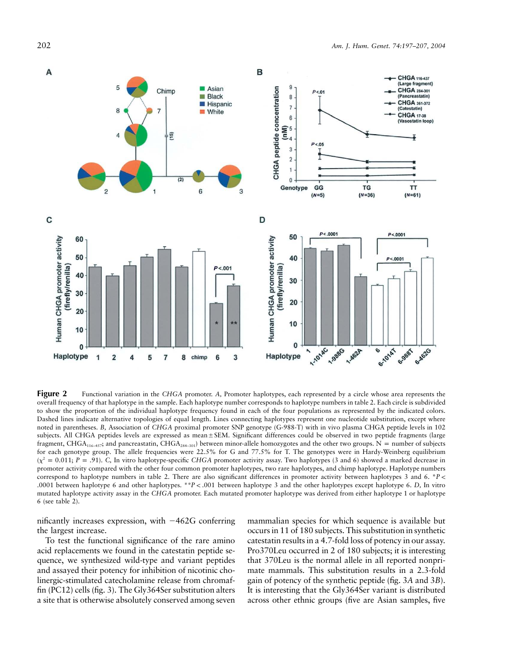

**Figure 2** Functional variation in the CHGA promoter. A, Promoter haplotypes, each represented by a circle whose area represents the overall frequency of that haplotype in the sample. Each haplotype number corresponds to haplotype numbers in table 2. Each circle is subdivided to show the proportion of the individual haplotype frequency found in each of the four populations as represented by the indicated colors. Dashed lines indicate alternative topologies of equal length. Lines connecting haplotypes represent one nucleotide substitution, except where noted in parentheses. *B,* Association of *CHGA* proximal promoter SNP genotype (G-988-T) with in vivo plasma CHGA peptide levels in 102 subjects. All CHGA peptides levels are expressed as mean±SEM. Significant differences could be observed in two peptide fragments (large fragment, CHGA<sub>116–457</sub>; and pancreastatin, CHGA<sub>284–301</sub>) between minor-allele homozygotes and the other two groups. N = number of subjects for each genotype group. The allele frequencies were 22.5% for G and 77.5% for T. The genotypes were in Hardy-Weinberg equilibrium  $(\chi^2 = 0.011; P = .91)$ . C, In vitro haplotype-specific CHGA promoter activity assay. Two haplotypes (3 and 6) showed a marked decrease in promoter activity compared with the other four common promoter haplotypes, two rare haplotypes, and chimp haplotype. Haplotype numbers correspond to haplotype numbers in table 2. There are also significant differences in promoter activity between haplotypes 3 and 6.  $P$ .0001 between haplotype 6 and other haplotypes. \*\* $P < .001$  between haplotype 3 and the other haplotypes except haplotype 6. *D*, In vitro mutated haplotype activity assay in the *CHGA* promoter. Each mutated promoter haplotype was derived from either haplotype 1 or haplotype 6 (see table 2).

nificantly increases expression, with -462G conferring the largest increase.

To test the functional significance of the rare amino acid replacements we found in the catestatin peptide sequence, we synthesized wild-type and variant peptides and assayed their potency for inhibition of nicotinic cholinergic-stimulated catecholamine release from chromaffin (PC12) cells (fig. 3). The Gly364Ser substitution alters a site that is otherwise absolutely conserved among seven

mammalian species for which sequence is available but occurs in 11 of 180 subjects. This substitution in synthetic catestatin results in a 4.7-fold loss of potency in our assay. Pro370Leu occurred in 2 of 180 subjects; it is interesting that 370Leu is the normal allele in all reported nonprimate mammals. This substitution results in a 2.3-fold gain of potency of the synthetic peptide (fig. 3*A* and 3*B*). It is interesting that the Gly364Ser variant is distributed across other ethnic groups (five are Asian samples, five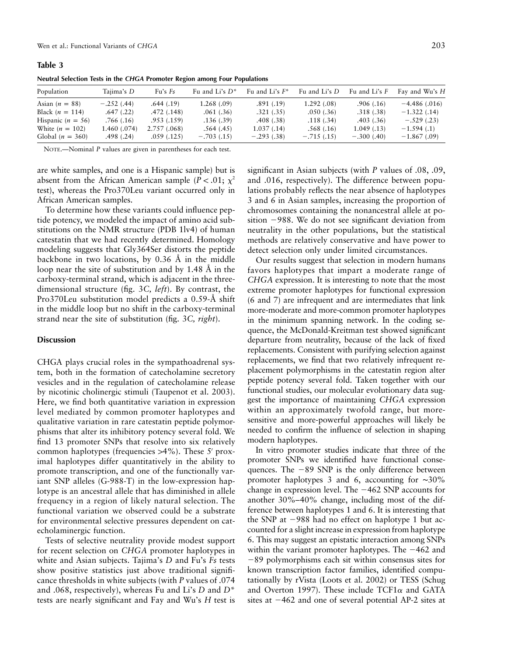**Table 3**

| <b>Example of the compact of the conduction of the compact of the compact of the compact of the compact of the compact of the compact of the compact of the compact of the compact of the compact of the compact of the compact</b> |              |              |                   |                   |               |                 |                |  |  |
|-------------------------------------------------------------------------------------------------------------------------------------------------------------------------------------------------------------------------------------|--------------|--------------|-------------------|-------------------|---------------|-----------------|----------------|--|--|
| Population                                                                                                                                                                                                                          | Tajima's D   | Fu's $Fs$    | Fu and Li's $D^*$ | Fu and Li's $F^*$ | Fu and Li's D | Fu and Li's $F$ | Fay and Wu's H |  |  |
| Asian $(n = 88)$                                                                                                                                                                                                                    | $-.252(.44)$ | .644(.19)    | 1.268(.09)        | .891(.19)         | 1.292(0.08)   | .906(0.16)      | $-4.486(.016)$ |  |  |
| Black $(n = 114)$                                                                                                                                                                                                                   | .647(.22)    | .472(.148)   | .061(.36)         | .321(.35)         | .050(.36)     | .318(.38)       | $-1.322(0.14)$ |  |  |
| Hispanic $(n = 56)$                                                                                                                                                                                                                 | .766(.16)    | .953(.159)   | .136(.39)         | .408(.38)         | .118(.34)     | .403(.36)       | $-.529(.23)$   |  |  |
| White $(n = 102)$                                                                                                                                                                                                                   | 1.460 (.074) | 2.757 (.068) | .564(.45)         | 1.037(0.14)       | .568(.16)     | 1.049(0.13)     | $-1.594(0.1)$  |  |  |
| Global $(n = 360)$                                                                                                                                                                                                                  | .498(.24)    | .059(.125)   | $-.703(.15)$      | $-.293(.38)$      | $-.715(.15)$  | $-.300(.40)$    | $-1.867(0.09)$ |  |  |

**Neutral Selection Tests in the** *CHGA* **Promoter Region among Four Populations**

NOTE.—Nominal *P* values are given in parentheses for each test.

are white samples, and one is a Hispanic sample) but is absent from the African American sample ( $P < .01$ ;  $\chi^2$ test), whereas the Pro370Leu variant occurred only in African American samples.

To determine how these variants could influence peptide potency, we modeled the impact of amino acid substitutions on the NMR structure (PDB 1lv4) of human catestatin that we had recently determined. Homology modeling suggests that Gly364Ser distorts the peptide backbone in two locations, by  $0.36$  Å in the middle loop near the site of substitution and by  $1.48 \text{ Å}$  in the carboxy-terminal strand, which is adjacent in the threedimensional structure (fig. 3*C, left*). By contrast, the Pro370Leu substitution model predicts a 0.59-A˚ shift in the middle loop but no shift in the carboxy-terminal strand near the site of substitution (fig. 3*C, right*).

#### **Discussion**

CHGA plays crucial roles in the sympathoadrenal system, both in the formation of catecholamine secretory vesicles and in the regulation of catecholamine release by nicotinic cholinergic stimuli (Taupenot et al. 2003). Here, we find both quantitative variation in expression level mediated by common promoter haplotypes and qualitative variation in rare catestatin peptide polymorphisms that alter its inhibitory potency several fold. We find 13 promoter SNPs that resolve into six relatively common haplotypes (frequencies >4%). These 5' proximal haplotypes differ quantitatively in the ability to promote transcription, and one of the functionally variant SNP alleles (G-988-T) in the low-expression haplotype is an ancestral allele that has diminished in allele frequency in a region of likely natural selection. The functional variation we observed could be a substrate for environmental selective pressures dependent on catecholaminergic function.

Tests of selective neutrality provide modest support for recent selection on *CHGA* promoter haplotypes in white and Asian subjects. Tajima's *D* and Fu's *Fs* tests show positive statistics just above traditional significance thresholds in white subjects (with *P* values of .074 and .068, respectively), whereas Fu and Li's *D* and *D*\* tests are nearly significant and Fay and Wu's *H* test is significant in Asian subjects (with *P* values of .08, .09, and .016, respectively). The difference between populations probably reflects the near absence of haplotypes 3 and 6 in Asian samples, increasing the proportion of chromosomes containing the nonancestral allele at position -988. We do not see significant deviation from neutrality in the other populations, but the statistical methods are relatively conservative and have power to detect selection only under limited circumstances.

Our results suggest that selection in modern humans favors haplotypes that impart a moderate range of *CHGA* expression. It is interesting to note that the most extreme promoter haplotypes for functional expression (6 and 7) are infrequent and are intermediates that link more-moderate and more-common promoter haplotypes in the minimum spanning network. In the coding sequence, the McDonald-Kreitman test showed significant departure from neutrality, because of the lack of fixed replacements. Consistent with purifying selection against replacements, we find that two relatively infrequent replacement polymorphisms in the catestatin region alter peptide potency several fold. Taken together with our functional studies, our molecular evolutionary data suggest the importance of maintaining *CHGA* expression within an approximately twofold range, but moresensitive and more-powerful approaches will likely be needed to confirm the influence of selection in shaping modern haplotypes.

In vitro promoter studies indicate that three of the promoter SNPs we identified have functional consequences. The  $-89$  SNP is the only difference between promoter haplotypes 3 and 6, accounting for ∼30% change in expression level. The -462 SNP accounts for another 30%–40% change, including most of the difference between haplotypes 1 and 6. It is interesting that the SNP at -988 had no effect on haplotype 1 but accounted for a slight increase in expression from haplotype 6. This may suggest an epistatic interaction among SNPs within the variant promoter haplotypes. The  $-462$  and -89 polymorphisms each sit within consensus sites for known transcription factor families, identified computationally by rVista (Loots et al. 2002) or TESS (Schug and Overton 1997). These include  $TCF1\alpha$  and GATA sites at  $-462$  and one of several potential AP-2 sites at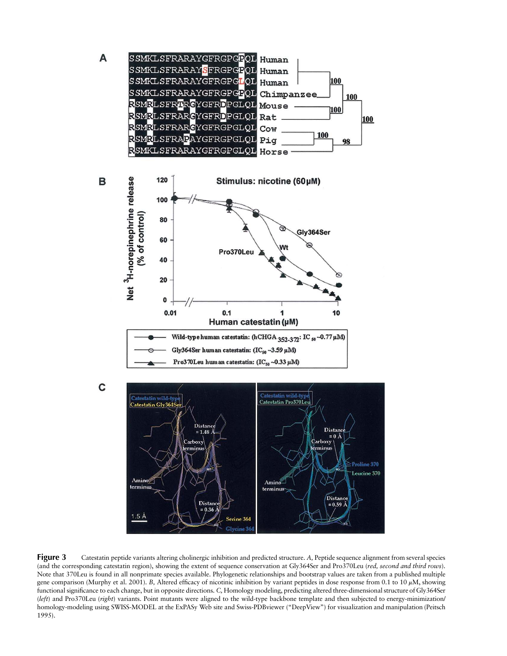

**Figure 3** Catestatin peptide variants altering cholinergic inhibition and predicted structure. A, Peptide sequence alignment from several species (and the corresponding catestatin region), showing the extent of sequence conservation at Gly364Ser and Pro370Leu (*red, second and third rows*). Note that 370Leu is found in all nonprimate species available. Phylogenetic relationships and bootstrap values are taken from a published multiple gene comparison (Murphy et al. 2001). *B*, Altered efficacy of nicotinic inhibition by variant peptides in dose response from 0.1 to 10  $\mu$ M, showing functional significance to each change, but in opposite directions. *C,* Homology modeling, predicting altered three-dimensional structure of Gly364Ser (*left*) and Pro370Leu (*right*) variants. Point mutants were aligned to the wild-type backbone template and then subjected to energy-minimization/ homology-modeling using SWISS-MODEL at the ExPASy Web site and Swiss-PDBviewer ("DeepView") for visualization and manipulation (Peitsch 1995).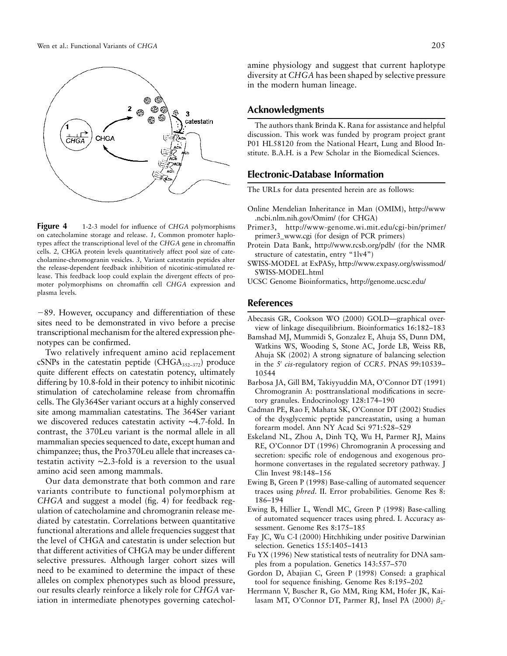

**Figure 4** 1-2-3 model for influence of *CHGA* polymorphisms on catecholamine storage and release. *1,* Common promoter haplotypes affect the transcriptional level of the *CHGA* gene in chromaffin cells. *2,* CHGA protein levels quantitatively affect pool size of catecholamine-chromogranin vesicles. *3,* Variant catestatin peptides alter the release-dependent feedback inhibition of nicotinic-stimulated release. This feedback loop could explain the divergent effects of promoter polymorphisms on chromaffin cell *CHGA* expression and plasma levels.

-89. However, occupancy and differentiation of these sites need to be demonstrated in vivo before a precise transcriptional mechanism for the altered expression phenotypes can be confirmed.

Two relatively infrequent amino acid replacement cSNPs in the catestatin peptide (CHGA $_{352-372}$ ) produce quite different effects on catestatin potency, ultimately differing by 10.8-fold in their potency to inhibit nicotinic stimulation of catecholamine release from chromaffin cells. The Gly364Ser variant occurs at a highly conserved site among mammalian catestatins. The 364Ser variant we discovered reduces catestatin activity ∼4.7-fold. In contrast, the 370Leu variant is the normal allele in all mammalian species sequenced to date, except human and chimpanzee; thus, the Pro370Leu allele that increases catestatin activity ∼2.3-fold is a reversion to the usual amino acid seen among mammals.

Our data demonstrate that both common and rare variants contribute to functional polymorphism at *CHGA* and suggest a model (fig. 4) for feedback regulation of catecholamine and chromogranin release mediated by catestatin. Correlations between quantitative functional alterations and allele frequencies suggest that the level of CHGA and catestatin is under selection but that different activities of CHGA may be under different selective pressures. Although larger cohort sizes will need to be examined to determine the impact of these alleles on complex phenotypes such as blood pressure, our results clearly reinforce a likely role for *CHGA* variation in intermediate phenotypes governing catecholamine physiology and suggest that current haplotype diversity at *CHGA* has been shaped by selective pressure in the modern human lineage.

## **Acknowledgments**

The authors thank Brinda K. Rana for assistance and helpful discussion. This work was funded by program project grant P01 HL58120 from the National Heart, Lung and Blood Institute. B.A.H. is a Pew Scholar in the Biomedical Sciences.

## **Electronic-Database Information**

The URLs for data presented herein are as follows:

- Online Mendelian Inheritance in Man (OMIM), http://www .ncbi.nlm.nih.gov/Omim/ (for CHGA)
- Primer3, http://www-genome.wi.mit.edu/cgi-bin/primer/ primer3\_www.cgi (for design of PCR primers)
- Protein Data Bank, http://www.rcsb.org/pdb/ (for the NMR structure of catestatin, entry "1lv4")
- SWISS-MODEL at ExPASy, http://www.expasy.org/swissmod/ SWISS-MODEL.html
- UCSC Genome Bioinformatics, http://genome.ucsc.edu/

## **References**

- Abecasis GR, Cookson WO (2000) GOLD—graphical overview of linkage disequilibrium. Bioinformatics 16:182–183
- Bamshad MJ, Mummidi S, Gonzalez E, Ahuja SS, Dunn DM, Watkins WS, Wooding S, Stone AC, Jorde LB, Weiss RB, Ahuja SK (2002) A strong signature of balancing selection in the 5′ *cis*-regulatory region of *CCR5*. PNAS 99:10539– 10544
- Barbosa JA, Gill BM, Takiyyuddin MA, O'Connor DT (1991) Chromogranin A: posttranslational modifications in secretory granules. Endocrinology 128:174–190
- Cadman PE, Rao F, Mahata SK, O'Connor DT (2002) Studies of the dysglycemic peptide pancreastatin, using a human forearm model. Ann NY Acad Sci 971:528–529
- Eskeland NL, Zhou A, Dinh TQ, Wu H, Parmer RJ, Mains RE, O'Connor DT (1996) Chromogranin A processing and secretion: specific role of endogenous and exogenous prohormone convertases in the regulated secretory pathway. J Clin Invest 98:148–156
- Ewing B, Green P (1998) Base-calling of automated sequencer traces using *phred*. II. Error probabilities. Genome Res 8: 186–194
- Ewing B, Hillier L, Wendl MC, Green P (1998) Base-calling of automated sequencer traces using phred. I. Accuracy assessment. Genome Res 8:175–185
- Fay JC, Wu C-I (2000) Hitchhiking under positive Darwinian selection. Genetics 155:1405–1413
- Fu YX (1996) New statistical tests of neutrality for DNA samples from a population. Genetics 143:557–570
- Gordon D, Abajian C, Green P (1998) Consed: a graphical tool for sequence finishing. Genome Res 8:195–202
- Herrmann V, Buscher R, Go MM, Ring KM, Hofer JK, Kailasam MT, O'Connor DT, Parmer RJ, Insel PA (2000)  $\beta_2$ -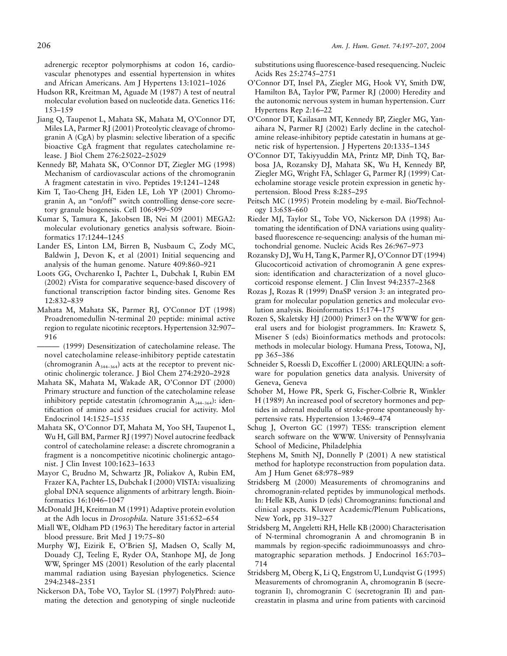adrenergic receptor polymorphisms at codon 16, cardiovascular phenotypes and essential hypertension in whites and African Americans. Am J Hypertens 13:1021–1026

- Hudson RR, Kreitman M, Aguade M (1987) A test of neutral molecular evolution based on nucleotide data. Genetics 116: 153–159
- Jiang Q, Taupenot L, Mahata SK, Mahata M, O'Connor DT, Miles LA, Parmer RJ (2001) Proteolytic cleavage of chromogranin A (CgA) by plasmin: selective liberation of a specific bioactive CgA fragment that regulates catecholamine release. J Biol Chem 276:25022–25029
- Kennedy BP, Mahata SK, O'Connor DT, Ziegler MG (1998) Mechanism of cardiovascular actions of the chromogranin A fragment catestatin in vivo. Peptides 19:1241–1248
- Kim T, Tao-Cheng JH, Eiden LE, Loh YP (2001) Chromogranin A, an "on/off" switch controlling dense-core secretory granule biogenesis. Cell 106:499–509
- Kumar S, Tamura K, Jakobsen IB, Nei M (2001) MEGA2: molecular evolutionary genetics analysis software. Bioinformatics 17:1244–1245
- Lander ES, Linton LM, Birren B, Nusbaum C, Zody MC, Baldwin J, Devon K, et al (2001) Initial sequencing and analysis of the human genome. Nature 409:860–921
- Loots GG, Ovcharenko I, Pachter L, Dubchak I, Rubin EM (2002) rVista for comparative sequence-based discovery of functional transcription factor binding sites. Genome Res 12:832–839
- Mahata M, Mahata SK, Parmer RJ, O'Connor DT (1998) Proadrenomedullin N-terminal 20 peptide: minimal active region to regulate nicotinic receptors. Hypertension 32:907– 916
- ——— (1999) Desensitization of catecholamine release. The novel catecholamine release-inhibitory peptide catestatin (chromogranin  $A_{344-364}$ ) acts at the receptor to prevent nicotinic cholinergic tolerance. J Biol Chem 274:2920–2928
- Mahata SK, Mahata M, Wakade AR, O'Connor DT (2000) Primary structure and function of the catecholamine release inhibitory peptide catestatin (chromogranin  $A_{344-364}$ ): identification of amino acid residues crucial for activity. Mol Endocrinol 14:1525–1535
- Mahata SK, O'Connor DT, Mahata M, Yoo SH, Taupenot L, Wu H, Gill BM, Parmer RJ (1997) Novel autocrine feedback control of catecholamine release: a discrete chromogranin a fragment is a noncompetitive nicotinic cholinergic antagonist. J Clin Invest 100:1623–1633
- Mayor C, Brudno M, Schwartz JR, Poliakov A, Rubin EM, Frazer KA, Pachter LS, Dubchak I (2000) VISTA: visualizing global DNA sequence alignments of arbitrary length. Bioinformatics 16:1046–1047
- McDonald JH, Kreitman M (1991) Adaptive protein evolution at the Adh locus in *Drosophila.* Nature 351:652–654
- Miall WE, Oldham PD (1963) The hereditary factor in arterial blood pressure. Brit Med J 19:75–80
- Murphy WJ, Eizirik E, O'Brien SJ, Madsen O, Scally M, Douady CJ, Teeling E, Ryder OA, Stanhope MJ, de Jong WW, Springer MS (2001) Resolution of the early placental mammal radiation using Bayesian phylogenetics. Science 294:2348–2351
- Nickerson DA, Tobe VO, Taylor SL (1997) PolyPhred: automating the detection and genotyping of single nucleotide

substitutions using fluorescence-based resequencing. Nucleic Acids Res 25:2745–2751

- O'Connor DT, Insel PA, Ziegler MG, Hook VY, Smith DW, Hamilton BA, Taylor PW, Parmer RJ (2000) Heredity and the autonomic nervous system in human hypertension. Curr Hypertens Rep 2:16–22
- O'Connor DT, Kailasam MT, Kennedy BP, Ziegler MG, Yanaihara N, Parmer RJ (2002) Early decline in the catecholamine release-inhibitory peptide catestatin in humans at genetic risk of hypertension. J Hypertens 20:1335–1345
- O'Connor DT, Takiyyuddin MA, Printz MP, Dinh TQ, Barbosa JA, Rozansky DJ, Mahata SK, Wu H, Kennedy BP, Ziegler MG, Wright FA, Schlager G, Parmer RJ (1999) Catecholamine storage vesicle protein expression in genetic hypertension. Blood Press 8:285–295
- Peitsch MC (1995) Protein modeling by e-mail. Bio/Technology 13:658–660
- Rieder MJ, Taylor SL, Tobe VO, Nickerson DA (1998) Automating the identification of DNA variations using qualitybased fluorescence re-sequencing: analysis of the human mitochondrial genome. Nucleic Acids Res 26:967–973
- Rozansky DJ, Wu H, Tang K, Parmer RJ, O'Connor DT (1994) Glucocorticoid activation of chromogranin A gene expression: identification and characterization of a novel glucocorticoid response element. J Clin Invest 94:2357–2368
- Rozas J, Rozas R (1999) DnaSP version 3: an integrated program for molecular population genetics and molecular evolution analysis. Bioinformatics 15:174–175
- Rozen S, Skaletsky HJ (2000) Primer3 on the WWW for general users and for biologist programmers. In: Krawetz S, Misener S (eds) Bioinformatics methods and protocols: methods in molecular biology. Humana Press, Totowa, NJ, pp 365–386
- Schneider S, Roessli D, Excoffier L (2000) ARLEQUIN: a software for population genetics data analysis. University of Geneva, Geneva
- Schober M, Howe PR, Sperk G, Fischer-Colbrie R, Winkler H (1989) An increased pool of secretory hormones and peptides in adrenal medulla of stroke-prone spontaneously hypertensive rats. Hypertension 13:469–474
- Schug J, Overton GC (1997) TESS: transcription element search software on the WWW. University of Pennsylvania School of Medicine, Philadelphia
- Stephens M, Smith NJ, Donnelly P (2001) A new statistical method for haplotype reconstruction from population data. Am J Hum Genet 68:978–989
- Stridsberg M (2000) Measurements of chromogranins and chromogranin-related peptides by immunological methods. In: Helle KB, Aunis D (eds) Chromogranins: functional and clinical aspects. Kluwer Academic/Plenum Publications, New York, pp 319–327
- Stridsberg M, Angeletti RH, Helle KB (2000) Characterisation of N-terminal chromogranin A and chromogranin B in mammals by region-specific radioimmunoassys and chromatographic separation methods. J Endocrinol 165:703– 714
- Stridsberg M, Oberg K, Li Q, Engstrom U, Lundqvist G (1995) Measurements of chromogranin A, chromogranin B (secretogranin I), chromogranin C (secretogranin II) and pancreastatin in plasma and urine from patients with carcinoid